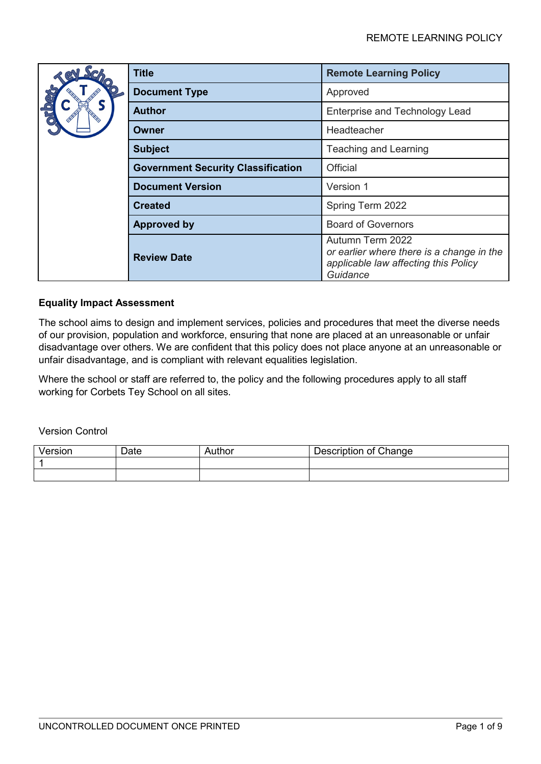|  | <b>Title</b>                              | <b>Remote Learning Policy</b>                                                                                     |
|--|-------------------------------------------|-------------------------------------------------------------------------------------------------------------------|
|  | <b>Document Type</b>                      | Approved                                                                                                          |
|  | <b>Author</b>                             | <b>Enterprise and Technology Lead</b>                                                                             |
|  | Owner                                     | Headteacher                                                                                                       |
|  | <b>Subject</b>                            | <b>Teaching and Learning</b>                                                                                      |
|  | <b>Government Security Classification</b> | Official                                                                                                          |
|  | <b>Document Version</b>                   | Version 1                                                                                                         |
|  | <b>Created</b>                            | Spring Term 2022                                                                                                  |
|  | <b>Approved by</b>                        | <b>Board of Governors</b>                                                                                         |
|  | <b>Review Date</b>                        | Autumn Term 2022<br>or earlier where there is a change in the<br>applicable law affecting this Policy<br>Guidance |

# **Equality Impact Assessment**

The school aims to design and implement services, policies and procedures that meet the diverse needs of our provision, population and workforce, ensuring that none are placed at an unreasonable or unfair disadvantage over others. We are confident that this policy does not place anyone at an unreasonable or unfair disadvantage, and is compliant with relevant equalities legislation.

Where the school or staff are referred to, the policy and the following procedures apply to all staff working for Corbets Tey School on all sites.

Version Control

| Version | Date | Author | Description of Change |
|---------|------|--------|-----------------------|
|         |      |        |                       |
|         |      |        |                       |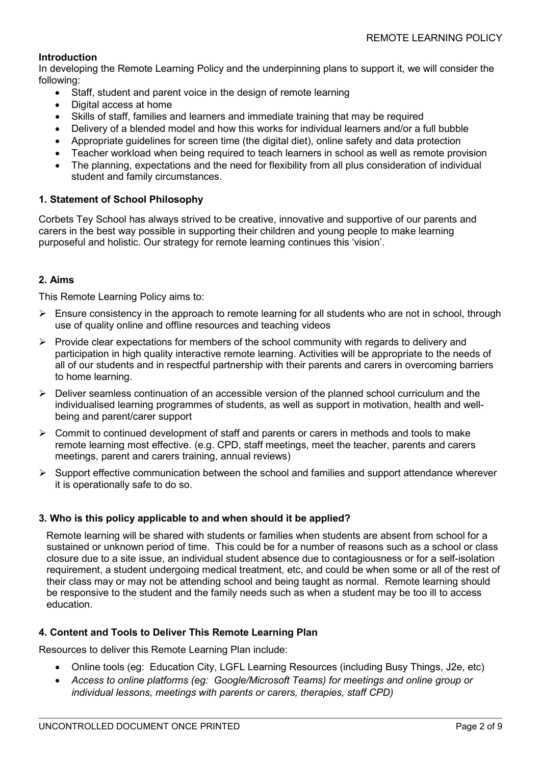# **Introduction**

In developing the Remote Learning Policy and the underpinning plans to support it, we will consider the following:

- Staff, student and parent voice in the design of remote learning
- Digital access at home
- Skills of staff, families and learners and immediate training that may be required
- Delivery of a blended model and how this works for individual learners and/or a full bubble
- Appropriate guidelines for screen time (the digital diet), online safety and data protection
- Teacher workload when being required to teach learners in school as well as remote provision
- The planning, expectations and the need for flexibility from all plus consideration of individual student and family circumstances.

# **1. Statement of School Philosophy**

Corbets Tey School has always strived to be creative, innovative and supportive of our parents and carers in the best way possible in supporting their children and young people to make learning purposeful and holistic. Our strategy for remote learning continues this 'vision'.

## **2. Aims**

This Remote Learning Policy aims to:

- $\triangleright$  Ensure consistency in the approach to remote learning for all students who are not in school, through use of quality online and offline resources and teaching videos
- $\triangleright$  Provide clear expectations for members of the school community with regards to delivery and participation in high quality interactive remote learning. Activities will be appropriate to the needs of all of our students and in respectful partnership with their parents and carers in overcoming barriers to home learning.
- $\triangleright$  Deliver seamless continuation of an accessible version of the planned school curriculum and the individualised learning programmes of students, as well as support in motivation, health and wellbeing and parent/carer support
- $\triangleright$  Commit to continued development of staff and parents or carers in methods and tools to make remote learning most effective. (e.g. CPD, staff meetings, meet the teacher, parents and carers meetings, parent and carers training, annual reviews)
- $\triangleright$  Support effective communication between the school and families and support attendance wherever it is operationally safe to do so.

## **3. Who is this policy applicable to and when should it be applied?**

Remote learning will be shared with students or families when students are absent from school for a sustained or unknown period of time. This could be for a number of reasons such as a school or class closure due to a site issue, an individual student absence due to contagiousness or for a self-isolation requirement, a student undergoing medical treatment, etc, and could be when some or all of the rest of their class may or may not be attending school and being taught as normal. Remote learning should be responsive to the student and the family needs such as when a student may be too ill to access education.

## **4. Content and Tools to Deliver This Remote Learning Plan**

Resources to deliver this Remote Learning Plan include:

- Online tools (eg: Education City, LGFL Learning Resources (including Busy Things, J2e, etc)
- *Access to online platforms (eg: Google/Microsoft Teams) for meetings and online group or individual lessons, meetings with parents or carers, therapies, staff CPD)*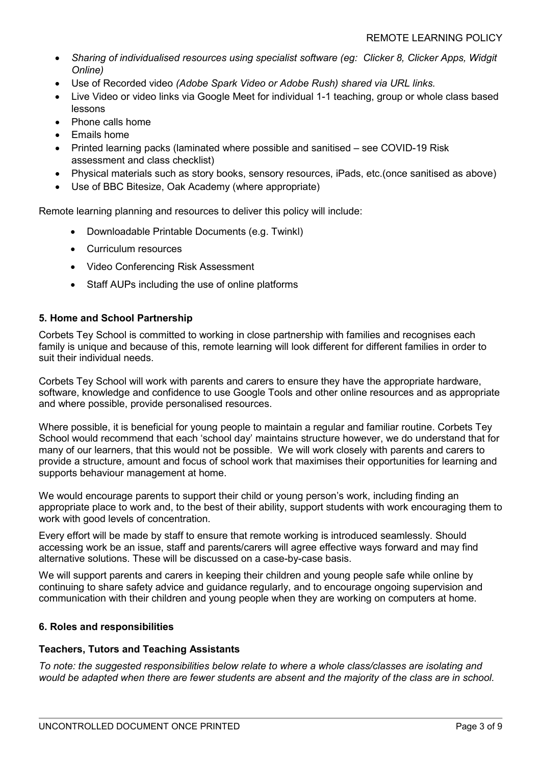- *Sharing of individualised resources using specialist software (eg: Clicker 8, Clicker Apps, Widgit Online)*
- Use of Recorded video *(Adobe Spark Video or Adobe Rush) shared via URL links.*
- Live Video or video links via Google Meet for individual 1-1 teaching, group or whole class based lessons
- Phone calls home
- Emails home
- Printed learning packs (laminated where possible and sanitised see COVID-19 Risk assessment and class checklist)
- Physical materials such as story books, sensory resources, iPads, etc.(once sanitised as above)
- Use of BBC Bitesize, Oak Academy (where appropriate)

Remote learning planning and resources to deliver this policy will include:

- Downloadable Printable Documents (e.g. Twinkl)
- Curriculum resources
- Video Conferencing Risk Assessment
- Staff AUPs including the use of online platforms

## **5. Home and School Partnership**

Corbets Tey School is committed to working in close partnership with families and recognises each family is unique and because of this, remote learning will look different for different families in order to suit their individual needs.

Corbets Tey School will work with parents and carers to ensure they have the appropriate hardware, software, knowledge and confidence to use Google Tools and other online resources and as appropriate and where possible, provide personalised resources.

Where possible, it is beneficial for young people to maintain a regular and familiar routine. Corbets Tey School would recommend that each 'school day' maintains structure however, we do understand that for many of our learners, that this would not be possible. We will work closely with parents and carers to provide a structure, amount and focus of school work that maximises their opportunities for learning and supports behaviour management at home.

We would encourage parents to support their child or young person's work, including finding an appropriate place to work and, to the best of their ability, support students with work encouraging them to work with good levels of concentration.

Every effort will be made by staff to ensure that remote working is introduced seamlessly. Should accessing work be an issue, staff and parents/carers will agree effective ways forward and may find alternative solutions. These will be discussed on a case-by-case basis.

We will support parents and carers in keeping their children and young people safe while online by continuing to share safety advice and guidance regularly, and to encourage ongoing supervision and communication with their children and young people when they are working on computers at home.

## **6. Roles and responsibilities**

## **Teachers, Tutors and Teaching Assistants**

*To note: the suggested responsibilities below relate to where a whole class/classes are isolating and would be adapted when there are fewer students are absent and the majority of the class are in school.*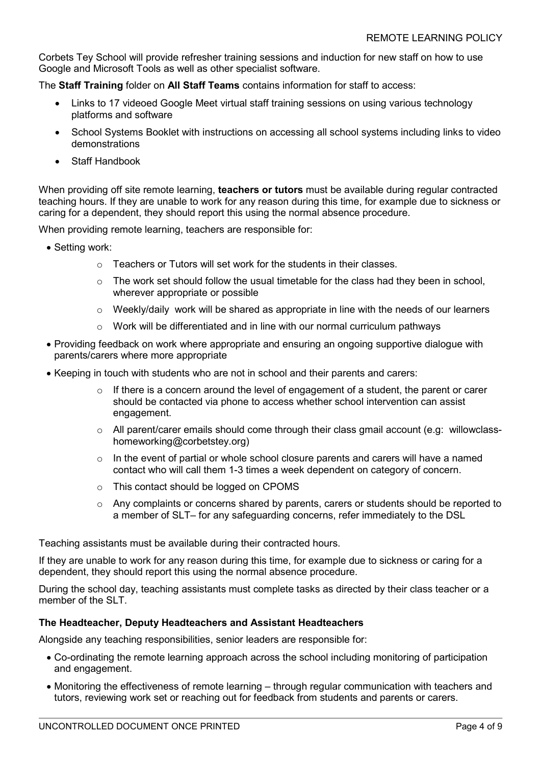Corbets Tey School will provide refresher training sessions and induction for new staff on how to use Google and Microsoft Tools as well as other specialist software.

The **Staff Training** folder on **All Staff Teams** contains information for staff to access:

- Links to 17 videoed Google Meet virtual staff training sessions on using various technology platforms and software
- School Systems Booklet with instructions on accessing all school systems including links to video demonstrations
- Staff Handbook

When providing off site remote learning, **teachers or tutors** must be available during regular contracted teaching hours. If they are unable to work for any reason during this time, for example due to sickness or caring for a dependent, they should report this using the normal absence procedure.

When providing remote learning, teachers are responsible for:

- Setting work:
	- $\circ$  Teachers or Tutors will set work for the students in their classes.
	- $\circ$  The work set should follow the usual timetable for the class had they been in school. wherever appropriate or possible
	- o Weekly/daily work will be shared as appropriate in line with the needs of our learners
	- o Work will be differentiated and in line with our normal curriculum pathways
- Providing feedback on work where appropriate and ensuring an ongoing supportive dialogue with parents/carers where more appropriate
- Keeping in touch with students who are not in school and their parents and carers:
	- $\circ$  If there is a concern around the level of engagement of a student, the parent or carer should be contacted via phone to access whether school intervention can assist engagement.
	- $\circ$  All parent/carer emails should come through their class gmail account (e.g: willowclasshomeworking@corbetstey.org)
	- $\circ$  In the event of partial or whole school closure parents and carers will have a named contact who will call them 1-3 times a week dependent on category of concern.
	- o This contact should be logged on CPOMS
	- $\circ$  Any complaints or concerns shared by parents, carers or students should be reported to a member of SLT– for any safeguarding concerns, refer immediately to the DSL

Teaching assistants must be available during their contracted hours.

If they are unable to work for any reason during this time, for example due to sickness or caring for a dependent, they should report this using the normal absence procedure.

During the school day, teaching assistants must complete tasks as directed by their class teacher or a member of the SLT.

## **The Headteacher, Deputy Headteachers and Assistant Headteachers**

Alongside any teaching responsibilities, senior leaders are responsible for:

- Co-ordinating the remote learning approach across the school including monitoring of participation and engagement.
- Monitoring the effectiveness of remote learning through regular communication with teachers and tutors, reviewing work set or reaching out for feedback from students and parents or carers.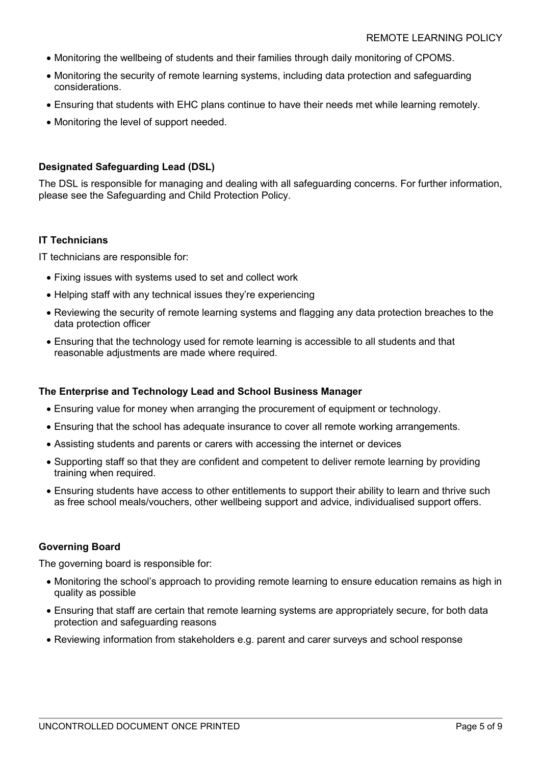- Monitoring the wellbeing of students and their families through daily monitoring of CPOMS.
- Monitoring the security of remote learning systems, including data protection and safeguarding considerations.
- Ensuring that students with EHC plans continue to have their needs met while learning remotely.
- Monitoring the level of support needed.

## **Designated Safeguarding Lead (DSL)**

The DSL is responsible for managing and dealing with all safeguarding concerns. For further information, please see the Safeguarding and Child Protection Policy.

## **IT Technicians**

IT technicians are responsible for:

- Fixing issues with systems used to set and collect work
- Helping staff with any technical issues they're experiencing
- Reviewing the security of remote learning systems and flagging any data protection breaches to the data protection officer
- Ensuring that the technology used for remote learning is accessible to all students and that reasonable adjustments are made where required.

## **The Enterprise and Technology Lead and School Business Manager**

- Ensuring value for money when arranging the procurement of equipment or technology.
- Ensuring that the school has adequate insurance to cover all remote working arrangements.
- Assisting students and parents or carers with accessing the internet or devices
- Supporting staff so that they are confident and competent to deliver remote learning by providing training when required.
- Ensuring students have access to other entitlements to support their ability to learn and thrive such as free school meals/vouchers, other wellbeing support and advice, individualised support offers.

## **Governing Board**

The governing board is responsible for:

- Monitoring the school's approach to providing remote learning to ensure education remains as high in quality as possible
- Ensuring that staff are certain that remote learning systems are appropriately secure, for both data protection and safeguarding reasons
- Reviewing information from stakeholders e.g. parent and carer surveys and school response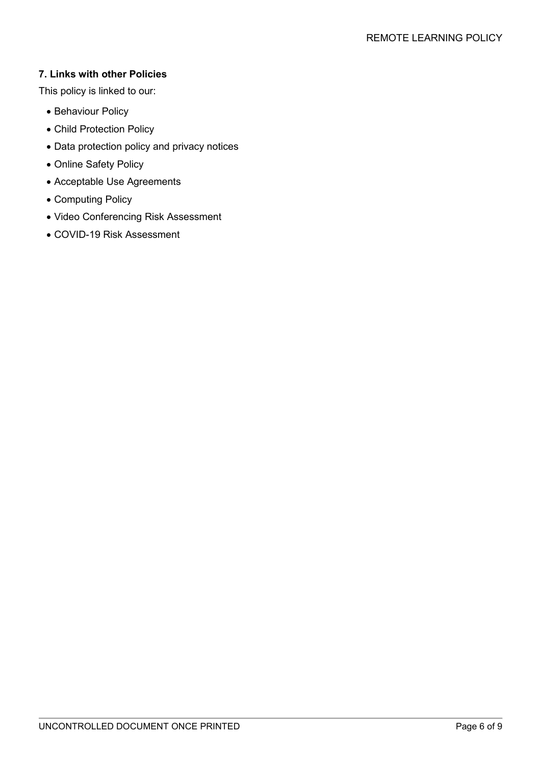# **7. Links with other Policies**

This policy is linked to our:

- Behaviour Policy
- Child Protection Policy
- Data protection policy and privacy notices
- Online Safety Policy
- Acceptable Use Agreements
- Computing Policy
- Video Conferencing Risk Assessment
- COVID-19 Risk Assessment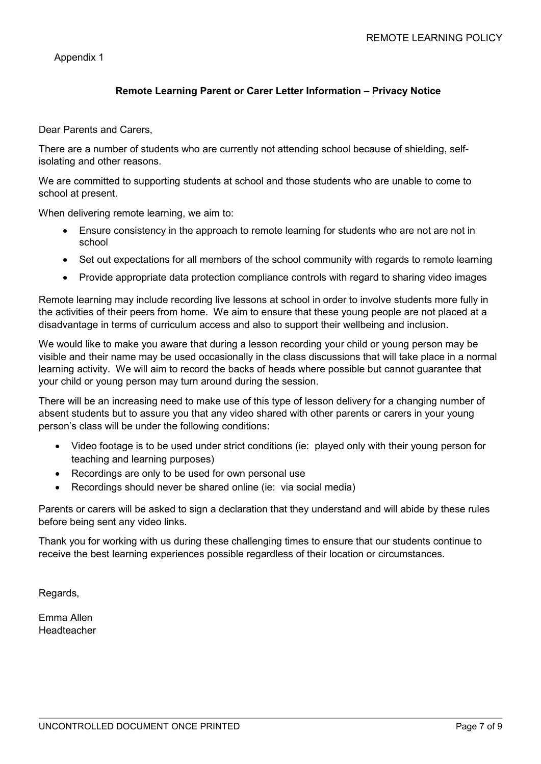Appendix 1

# **Remote Learning Parent or Carer Letter Information – Privacy Notice**

Dear Parents and Carers,

There are a number of students who are currently not attending school because of shielding, selfisolating and other reasons.

We are committed to supporting students at school and those students who are unable to come to school at present.

When delivering remote learning, we aim to:

- Ensure consistency in the approach to remote learning for students who are not are not in school
- Set out expectations for all members of the school community with regards to remote learning
- Provide appropriate data protection compliance controls with regard to sharing video images

Remote learning may include recording live lessons at school in order to involve students more fully in the activities of their peers from home. We aim to ensure that these young people are not placed at a disadvantage in terms of curriculum access and also to support their wellbeing and inclusion.

We would like to make you aware that during a lesson recording your child or young person may be visible and their name may be used occasionally in the class discussions that will take place in a normal learning activity. We will aim to record the backs of heads where possible but cannot guarantee that your child or young person may turn around during the session.

There will be an increasing need to make use of this type of lesson delivery for a changing number of absent students but to assure you that any video shared with other parents or carers in your young person's class will be under the following conditions:

- Video footage is to be used under strict conditions (ie: played only with their young person for teaching and learning purposes)
- Recordings are only to be used for own personal use
- Recordings should never be shared online (ie: via social media)

Parents or carers will be asked to sign a declaration that they understand and will abide by these rules before being sent any video links.

Thank you for working with us during these challenging times to ensure that our students continue to receive the best learning experiences possible regardless of their location or circumstances.

Regards,

Emma Allen Headteacher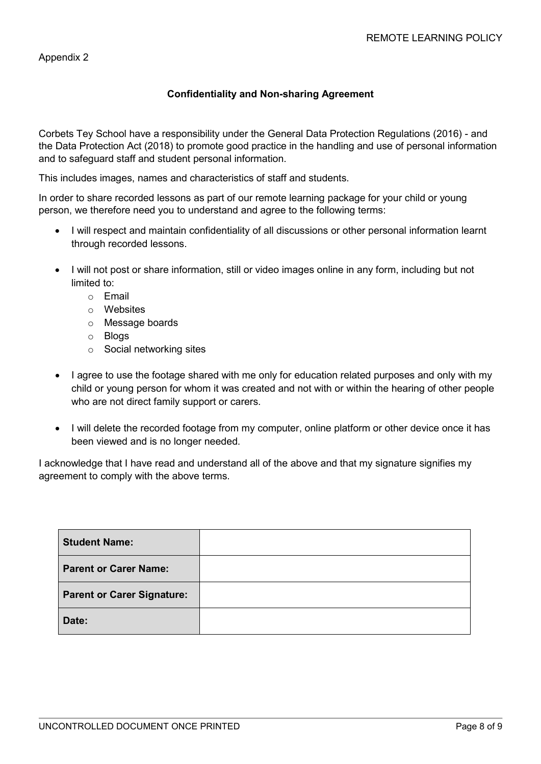## Appendix 2

# **Confidentiality and Non-sharing Agreement**

Corbets Tey School have a responsibility under the General Data Protection Regulations (2016) - and the Data Protection Act (2018) to promote good practice in the handling and use of personal information and to safeguard staff and student personal information.

This includes images, names and characteristics of staff and students.

In order to share recorded lessons as part of our remote learning package for your child or young person, we therefore need you to understand and agree to the following terms:

- I will respect and maintain confidentiality of all discussions or other personal information learnt through recorded lessons.
- I will not post or share information, still or video images online in any form, including but not limited to:
	- o Email
	- o Websites
	- o Message boards
	- o Blogs
	- o Social networking sites
- I agree to use the footage shared with me only for education related purposes and only with my child or young person for whom it was created and not with or within the hearing of other people who are not direct family support or carers.
- I will delete the recorded footage from my computer, online platform or other device once it has been viewed and is no longer needed.

I acknowledge that I have read and understand all of the above and that my signature signifies my agreement to comply with the above terms.

| <b>Student Name:</b>              |  |
|-----------------------------------|--|
| <b>Parent or Carer Name:</b>      |  |
| <b>Parent or Carer Signature:</b> |  |
| Date:                             |  |